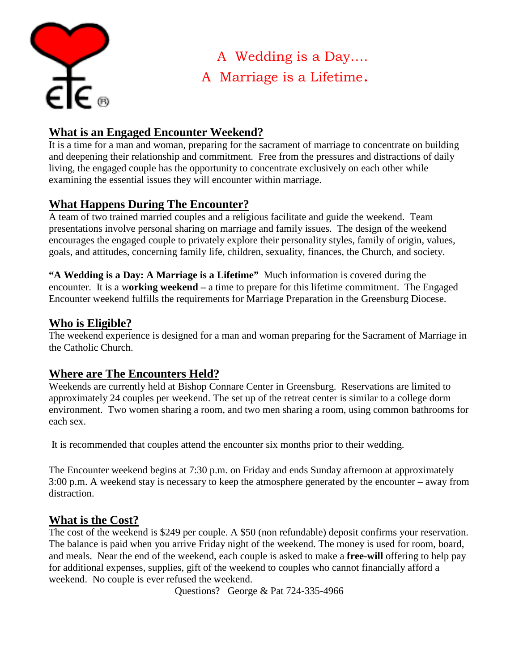

A Wedding is a Day…. A Marriage is a Lifetime.

# **What is an Engaged Encounter Weekend?**

It is a time for a man and woman, preparing for the sacrament of marriage to concentrate on building and deepening their relationship and commitment. Free from the pressures and distractions of daily living, the engaged couple has the opportunity to concentrate exclusively on each other while examining the essential issues they will encounter within marriage.

# **What Happens During The Encounter?**

A team of two trained married couples and a religious facilitate and guide the weekend. Team presentations involve personal sharing on marriage and family issues. The design of the weekend encourages the engaged couple to privately explore their personality styles, family of origin, values, goals, and attitudes, concerning family life, children, sexuality, finances, the Church, and society.

**"A Wedding is a Day: A Marriage is a Lifetime"** Much information is covered during the encounter. It is a w**orking weekend –** a time to prepare for this lifetime commitment. The Engaged Encounter weekend fulfills the requirements for Marriage Preparation in the Greensburg Diocese.

### **Who is Eligible?**

The weekend experience is designed for a man and woman preparing for the Sacrament of Marriage in the Catholic Church.

## **Where are The Encounters Held?**

Weekends are currently held at Bishop Connare Center in Greensburg. Reservations are limited to approximately 24 couples per weekend. The set up of the retreat center is similar to a college dorm environment. Two women sharing a room, and two men sharing a room, using common bathrooms for each sex.

It is recommended that couples attend the encounter six months prior to their wedding.

The Encounter weekend begins at 7:30 p.m. on Friday and ends Sunday afternoon at approximately 3:00 p.m. A weekend stay is necessary to keep the atmosphere generated by the encounter – away from distraction.

### **What is the Cost?**

The cost of the weekend is \$249 per couple. A \$50 (non refundable) deposit confirms your reservation. The balance is paid when you arrive Friday night of the weekend. The money is used for room, board, and meals. Near the end of the weekend, each couple is asked to make a **free-will** offering to help pay for additional expenses, supplies, gift of the weekend to couples who cannot financially afford a weekend. No couple is ever refused the weekend.

Questions? George & Pat 724-335-4966